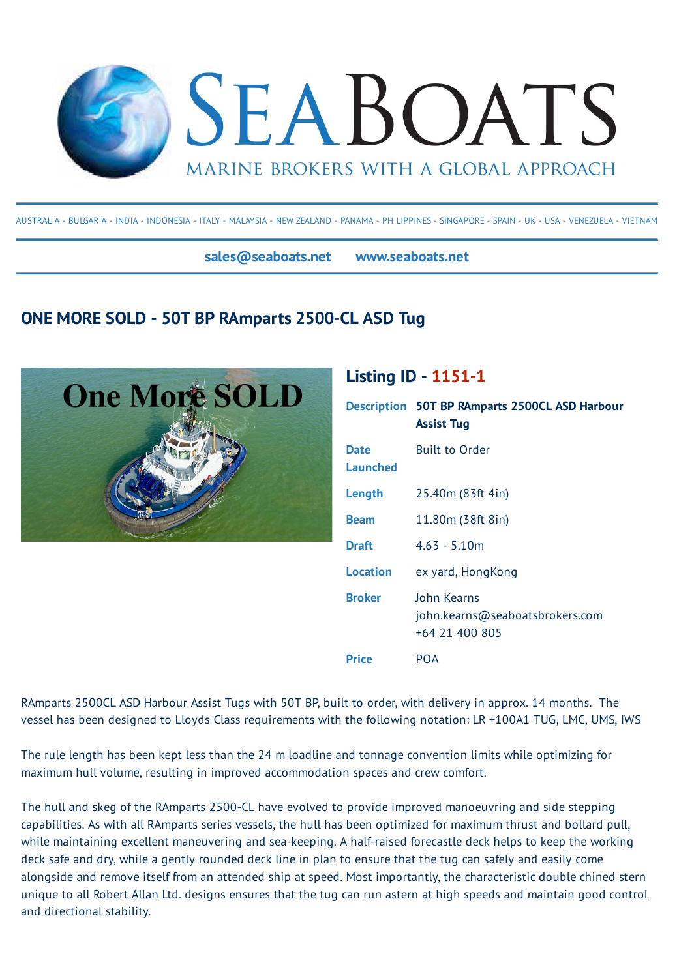

AUSTRALIA - BULGARIA - INDIA - INDONESIA - ITALY - MALAYSIA - NEW ZEALAND - PANAMA - PHILIPPINES - SINGAPORE - SPAIN - UK - USA - VENEZUELA - VIETNAM

**sales@seaboats.net www.seaboats.net**

## **ONE MORE SOLD - 50T BP RAmparts 2500-CL ASD Tug**



## **Listing ID - 1151-1**

|                  | <b>Description 50T BP RAmparts 2500CL ASD Harbour</b><br><b>Assist Tug</b> |
|------------------|----------------------------------------------------------------------------|
| Date<br>Launched | <b>Built to Order</b>                                                      |
| Length           | 25.40m (83ft 4in)                                                          |
| <b>Beam</b>      | 11.80m (38ft 8in)                                                          |
| Draft            | $4.63 - 5.10m$                                                             |
| Location         | ex yard, HongKong                                                          |
| <b>Broker</b>    | John Kearns<br>john.kearns@seaboatsbrokers.com<br>+64 21 400 805           |
| Price            | POA                                                                        |

RAmparts 2500CL ASD Harbour Assist Tugs with 50T BP, built to order, with delivery in approx. 14 months. The vessel has been designed to Lloyds Class requirements with the following notation: LR +100A1 TUG, LMC, UMS, IWS

The rule length has been kept less than the 24 m loadline and tonnage convention limits while optimizing for maximum hull volume, resulting in improved accommodation spaces and crew comfort.

The hull and skeg of the RAmparts 2500-CL have evolved to provide improved manoeuvring and side stepping capabilities. As with all RAmparts series vessels, the hull has been optimized for maximum thrust and bollard pull, while maintaining excellent maneuvering and sea-keeping. A half-raised forecastle deck helps to keep the working deck safe and dry, while a gently rounded deck line in plan to ensure that the tug can safely and easily come alongside and remove itself from an attended ship at speed. Most importantly, the characteristic double chined stern unique to all Robert Allan Ltd. designs ensures that the tug can run astern at high speeds and maintain good control and directional stability.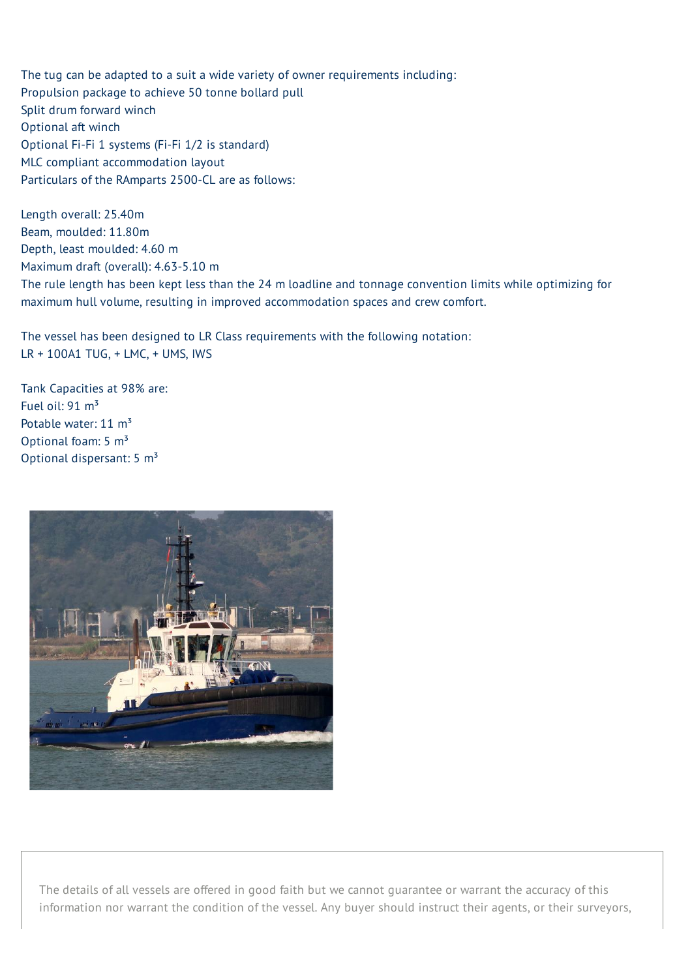The tug can be adapted to a suit a wide variety of owner requirements including: Propulsion package to achieve 50 tonne bollard pull Split drum forward winch Optional aft winch Optional Fi-Fi 1 systems (Fi-Fi 1/2 is standard) MLC compliant accommodation layout Particulars of the RAmparts 2500-CL are as follows:

Length overall: 25.40m Beam, moulded: 11.80m Depth, least moulded: 4.60 m Maximum draft (overall): 4.63-5.10 m The rule length has been kept less than the 24 m loadline and tonnage convention limits while optimizing for maximum hull volume, resulting in improved accommodation spaces and crew comfort.

The vessel has been designed to LR Class requirements with the following notation: LR + 100A1 TUG, + LMC, + UMS, IWS

Tank Capacities at 98% are: Fuel oil:  $91 \text{ m}^3$ Potable water: 11 m<sup>3</sup> Optional foam:  $5 \text{ m}^3$ Optional dispersant: 5 m<sup>3</sup>



The details of all vessels are offered in good faith but we cannot guarantee or warrant the accuracy of this information nor warrant the condition of the vessel. Any buyer should instruct their agents, or their surveyors,